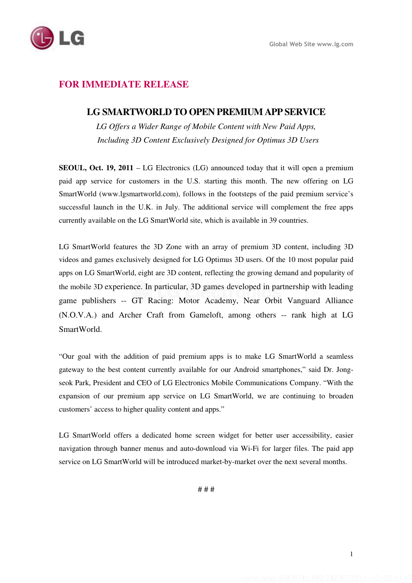

## **FOR IMMEDIATE RELEASE**

## **LG SMARTWORLD TO OPEN PREMIUM APP SERVICE**

*LG Offers a Wider Range of Mobile Content with New Paid Apps, Including 3D Content Exclusively Designed for Optimus 3D Users* 

**SEOUL, Oct. 19, 2011** – LG Electronics (LG) announced today that it will open a premium paid app service for customers in the U.S. starting this month. The new offering on LG SmartWorld (www.lgsmartworld.com), follows in the footsteps of the paid premium service's successful launch in the U.K. in July. The additional service will complement the free apps currently available on the LG SmartWorld site, which is available in 39 countries.

LG SmartWorld features the 3D Zone with an array of premium 3D content, including 3D videos and games exclusively designed for LG Optimus 3D users. Of the 10 most popular paid apps on LG SmartWorld, eight are 3D content, reflecting the growing demand and popularity of the mobile 3D experience. In particular, 3D games developed in partnership with leading game publishers -- GT Racing: Motor Academy, Near Orbit Vanguard Alliance (N.O.V.A.) and Archer Craft from Gameloft, among others -- rank high at LG SmartWorld.

"Our goal with the addition of paid premium apps is to make LG SmartWorld a seamless gateway to the best content currently available for our Android smartphones," said Dr. Jongseok Park, President and CEO of LG Electronics Mobile Communications Company. "With the expansion of our premium app service on LG SmartWorld, we are continuing to broaden customers' access to higher quality content and apps."

LG SmartWorld offers a dedicated home screen widget for better user accessibility, easier navigation through banner menus and auto-download via Wi-Fi for larger files. The paid app service on LG SmartWorld will be introduced market-by-market over the next several months.

# # #